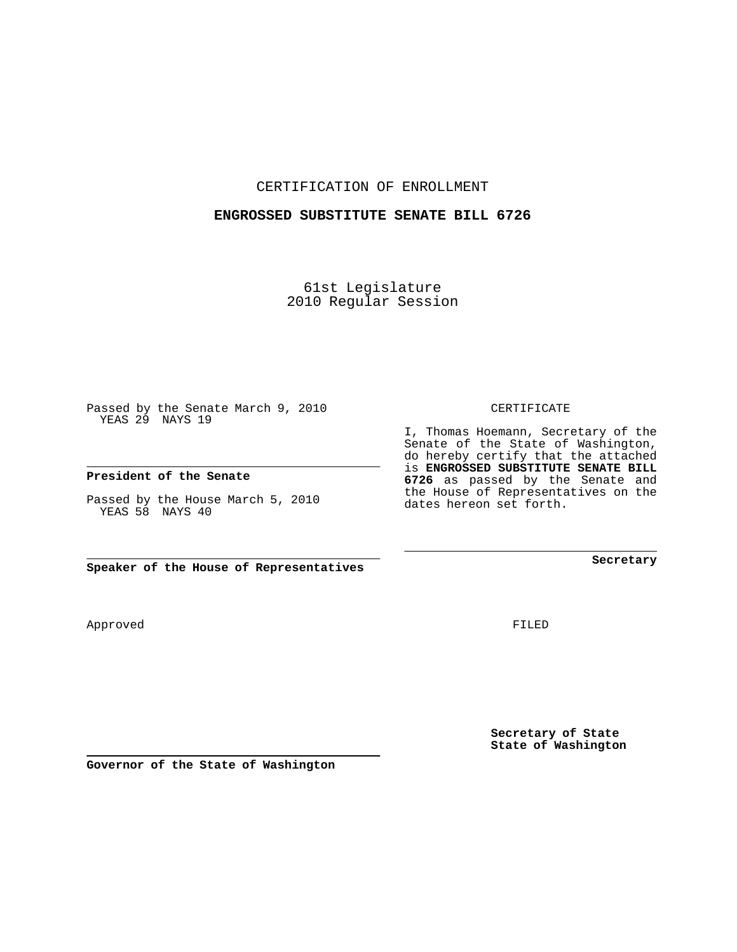CERTIFICATION OF ENROLLMENT

## **ENGROSSED SUBSTITUTE SENATE BILL 6726**

61st Legislature 2010 Regular Session

Passed by the Senate March 9, 2010 YEAS 29 NAYS 19

## **President of the Senate**

Passed by the House March 5, 2010 YEAS 58 NAYS 40

**Speaker of the House of Representatives**

Approved

FILED

**Secretary of State State of Washington**

**Governor of the State of Washington**

CERTIFICATE

I, Thomas Hoemann, Secretary of the Senate of the State of Washington, do hereby certify that the attached is **ENGROSSED SUBSTITUTE SENATE BILL 6726** as passed by the Senate and the House of Representatives on the dates hereon set forth.

**Secretary**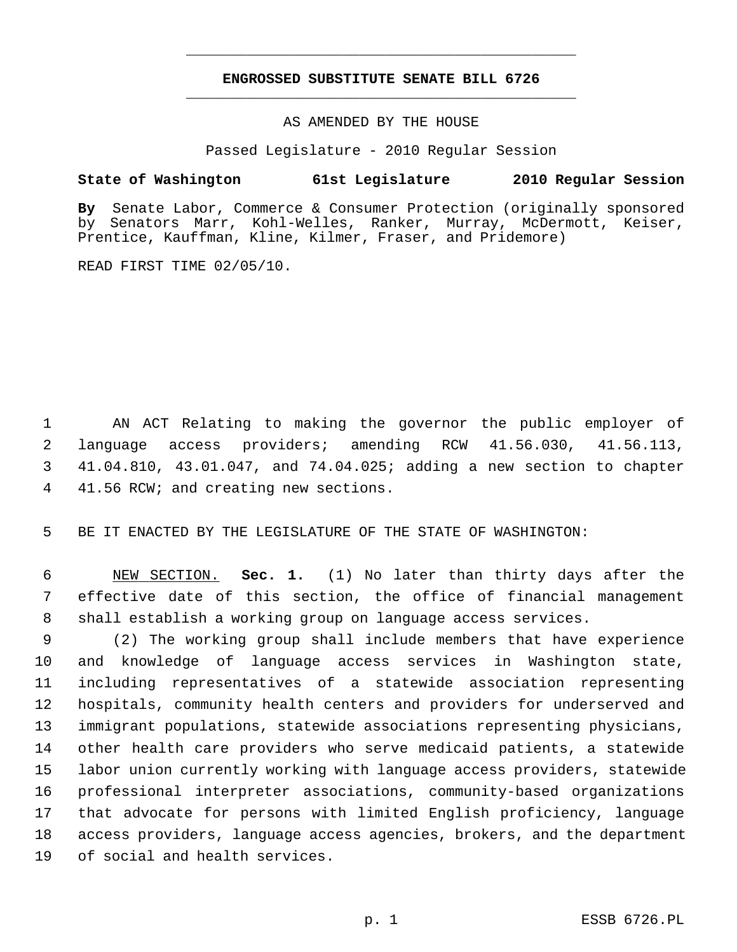## **ENGROSSED SUBSTITUTE SENATE BILL 6726** \_\_\_\_\_\_\_\_\_\_\_\_\_\_\_\_\_\_\_\_\_\_\_\_\_\_\_\_\_\_\_\_\_\_\_\_\_\_\_\_\_\_\_\_\_

\_\_\_\_\_\_\_\_\_\_\_\_\_\_\_\_\_\_\_\_\_\_\_\_\_\_\_\_\_\_\_\_\_\_\_\_\_\_\_\_\_\_\_\_\_

AS AMENDED BY THE HOUSE

Passed Legislature - 2010 Regular Session

## **State of Washington 61st Legislature 2010 Regular Session**

**By** Senate Labor, Commerce & Consumer Protection (originally sponsored by Senators Marr, Kohl-Welles, Ranker, Murray, McDermott, Keiser, Prentice, Kauffman, Kline, Kilmer, Fraser, and Pridemore)

READ FIRST TIME 02/05/10.

 1 AN ACT Relating to making the governor the public employer of 2 language access providers; amending RCW 41.56.030, 41.56.113, 3 41.04.810, 43.01.047, and 74.04.025; adding a new section to chapter 4 41.56 RCW; and creating new sections.

5 BE IT ENACTED BY THE LEGISLATURE OF THE STATE OF WASHINGTON:

 6 NEW SECTION. **Sec. 1.** (1) No later than thirty days after the 7 effective date of this section, the office of financial management 8 shall establish a working group on language access services.

 9 (2) The working group shall include members that have experience 10 and knowledge of language access services in Washington state, 11 including representatives of a statewide association representing 12 hospitals, community health centers and providers for underserved and 13 immigrant populations, statewide associations representing physicians, 14 other health care providers who serve medicaid patients, a statewide 15 labor union currently working with language access providers, statewide 16 professional interpreter associations, community-based organizations 17 that advocate for persons with limited English proficiency, language 18 access providers, language access agencies, brokers, and the department 19 of social and health services.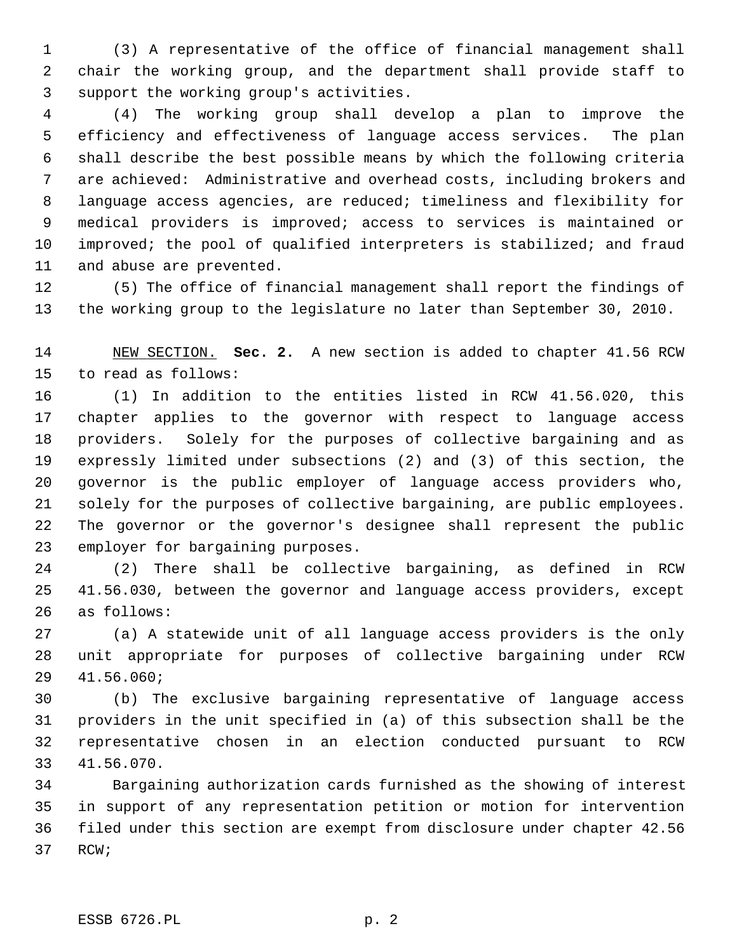1 (3) A representative of the office of financial management shall 2 chair the working group, and the department shall provide staff to 3 support the working group's activities.

 4 (4) The working group shall develop a plan to improve the 5 efficiency and effectiveness of language access services. The plan 6 shall describe the best possible means by which the following criteria 7 are achieved: Administrative and overhead costs, including brokers and 8 language access agencies, are reduced; timeliness and flexibility for 9 medical providers is improved; access to services is maintained or 10 improved; the pool of qualified interpreters is stabilized; and fraud 11 and abuse are prevented.

12 (5) The office of financial management shall report the findings of 13 the working group to the legislature no later than September 30, 2010.

14 NEW SECTION. **Sec. 2.** A new section is added to chapter 41.56 RCW 15 to read as follows:

16 (1) In addition to the entities listed in RCW 41.56.020, this 17 chapter applies to the governor with respect to language access 18 providers. Solely for the purposes of collective bargaining and as 19 expressly limited under subsections (2) and (3) of this section, the 20 governor is the public employer of language access providers who, 21 solely for the purposes of collective bargaining, are public employees. 22 The governor or the governor's designee shall represent the public 23 employer for bargaining purposes.

24 (2) There shall be collective bargaining, as defined in RCW 25 41.56.030, between the governor and language access providers, except 26 as follows:

27 (a) A statewide unit of all language access providers is the only 28 unit appropriate for purposes of collective bargaining under RCW 29 41.56.060;

30 (b) The exclusive bargaining representative of language access 31 providers in the unit specified in (a) of this subsection shall be the 32 representative chosen in an election conducted pursuant to RCW 33 41.56.070.

34 Bargaining authorization cards furnished as the showing of interest 35 in support of any representation petition or motion for intervention 36 filed under this section are exempt from disclosure under chapter 42.56 37 RCW;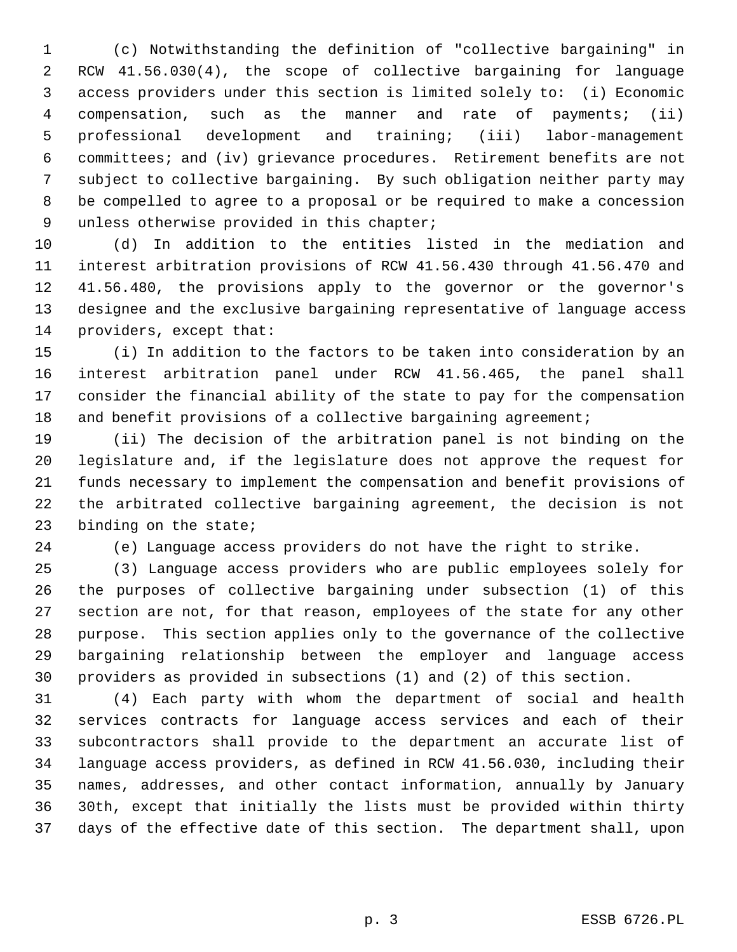1 (c) Notwithstanding the definition of "collective bargaining" in 2 RCW 41.56.030(4), the scope of collective bargaining for language 3 access providers under this section is limited solely to: (i) Economic 4 compensation, such as the manner and rate of payments; (ii) 5 professional development and training; (iii) labor-management 6 committees; and (iv) grievance procedures. Retirement benefits are not 7 subject to collective bargaining. By such obligation neither party may 8 be compelled to agree to a proposal or be required to make a concession 9 unless otherwise provided in this chapter;

10 (d) In addition to the entities listed in the mediation and 11 interest arbitration provisions of RCW 41.56.430 through 41.56.470 and 12 41.56.480, the provisions apply to the governor or the governor's 13 designee and the exclusive bargaining representative of language access 14 providers, except that:

15 (i) In addition to the factors to be taken into consideration by an 16 interest arbitration panel under RCW 41.56.465, the panel shall 17 consider the financial ability of the state to pay for the compensation 18 and benefit provisions of a collective bargaining agreement;

19 (ii) The decision of the arbitration panel is not binding on the 20 legislature and, if the legislature does not approve the request for 21 funds necessary to implement the compensation and benefit provisions of 22 the arbitrated collective bargaining agreement, the decision is not 23 binding on the state;

24 (e) Language access providers do not have the right to strike.

25 (3) Language access providers who are public employees solely for 26 the purposes of collective bargaining under subsection (1) of this 27 section are not, for that reason, employees of the state for any other 28 purpose. This section applies only to the governance of the collective 29 bargaining relationship between the employer and language access 30 providers as provided in subsections (1) and (2) of this section.

31 (4) Each party with whom the department of social and health 32 services contracts for language access services and each of their 33 subcontractors shall provide to the department an accurate list of 34 language access providers, as defined in RCW 41.56.030, including their 35 names, addresses, and other contact information, annually by January 36 30th, except that initially the lists must be provided within thirty 37 days of the effective date of this section. The department shall, upon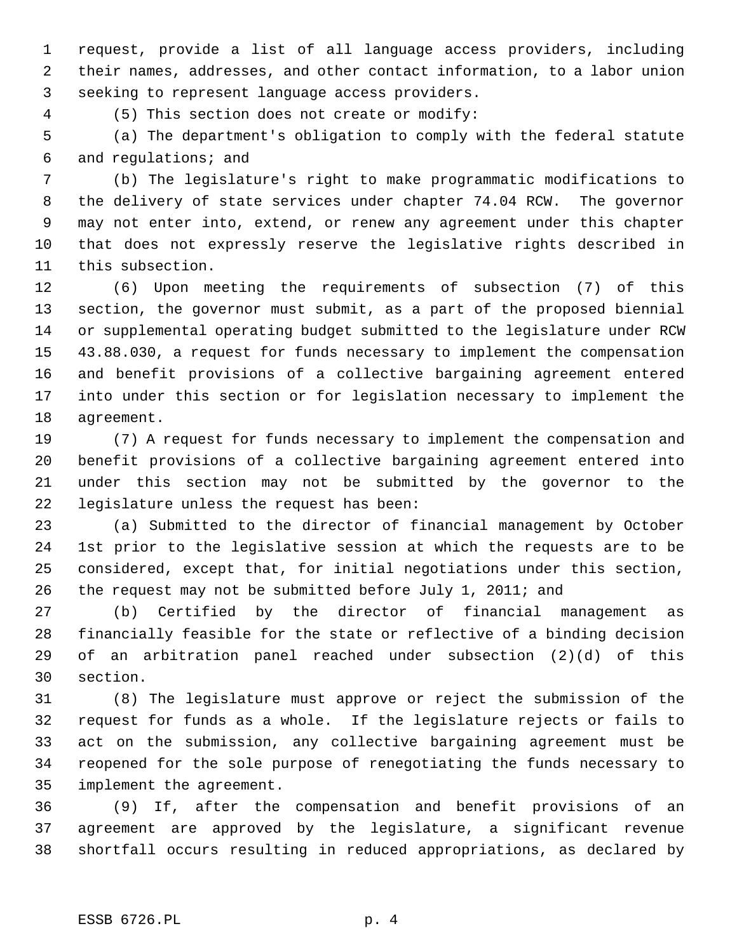1 request, provide a list of all language access providers, including 2 their names, addresses, and other contact information, to a labor union 3 seeking to represent language access providers.

4 (5) This section does not create or modify:

 5 (a) The department's obligation to comply with the federal statute 6 and regulations; and

 7 (b) The legislature's right to make programmatic modifications to 8 the delivery of state services under chapter 74.04 RCW. The governor 9 may not enter into, extend, or renew any agreement under this chapter 10 that does not expressly reserve the legislative rights described in 11 this subsection.

12 (6) Upon meeting the requirements of subsection (7) of this 13 section, the governor must submit, as a part of the proposed biennial 14 or supplemental operating budget submitted to the legislature under RCW 15 43.88.030, a request for funds necessary to implement the compensation 16 and benefit provisions of a collective bargaining agreement entered 17 into under this section or for legislation necessary to implement the 18 agreement.

19 (7) A request for funds necessary to implement the compensation and 20 benefit provisions of a collective bargaining agreement entered into 21 under this section may not be submitted by the governor to the 22 legislature unless the request has been:

23 (a) Submitted to the director of financial management by October 24 1st prior to the legislative session at which the requests are to be 25 considered, except that, for initial negotiations under this section, 26 the request may not be submitted before July 1, 2011; and

27 (b) Certified by the director of financial management as 28 financially feasible for the state or reflective of a binding decision 29 of an arbitration panel reached under subsection (2)(d) of this 30 section.

31 (8) The legislature must approve or reject the submission of the 32 request for funds as a whole. If the legislature rejects or fails to 33 act on the submission, any collective bargaining agreement must be 34 reopened for the sole purpose of renegotiating the funds necessary to 35 implement the agreement.

36 (9) If, after the compensation and benefit provisions of an 37 agreement are approved by the legislature, a significant revenue 38 shortfall occurs resulting in reduced appropriations, as declared by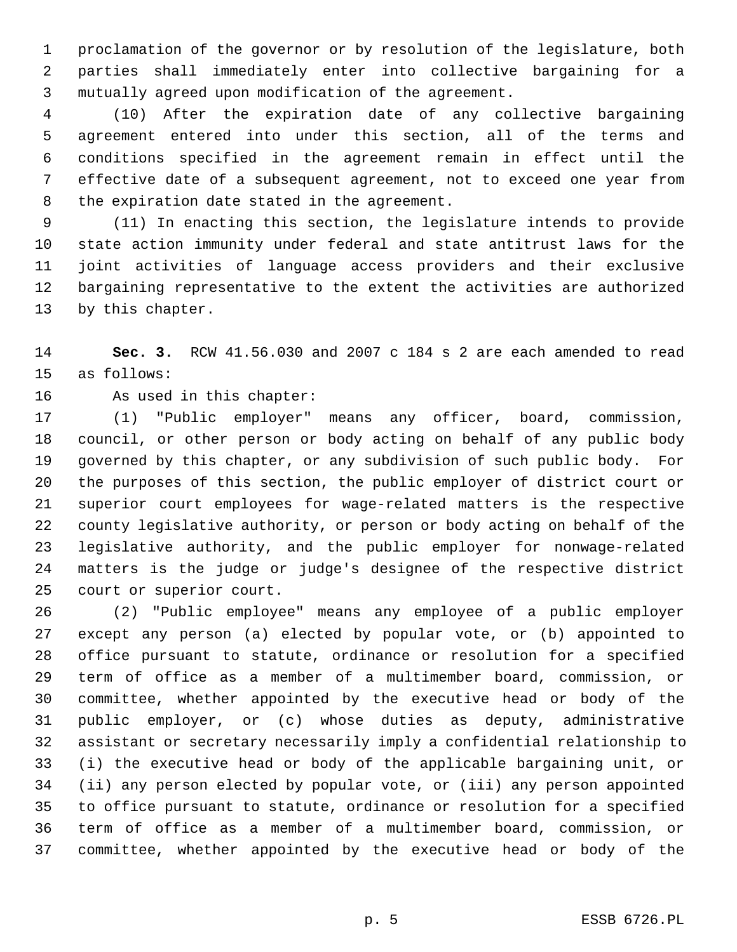1 proclamation of the governor or by resolution of the legislature, both 2 parties shall immediately enter into collective bargaining for a 3 mutually agreed upon modification of the agreement.

 4 (10) After the expiration date of any collective bargaining 5 agreement entered into under this section, all of the terms and 6 conditions specified in the agreement remain in effect until the 7 effective date of a subsequent agreement, not to exceed one year from 8 the expiration date stated in the agreement.

 9 (11) In enacting this section, the legislature intends to provide 10 state action immunity under federal and state antitrust laws for the 11 joint activities of language access providers and their exclusive 12 bargaining representative to the extent the activities are authorized 13 by this chapter.

14 **Sec. 3.** RCW 41.56.030 and 2007 c 184 s 2 are each amended to read 15 as follows:

16 As used in this chapter:

17 (1) "Public employer" means any officer, board, commission, 18 council, or other person or body acting on behalf of any public body 19 governed by this chapter, or any subdivision of such public body. For 20 the purposes of this section, the public employer of district court or 21 superior court employees for wage-related matters is the respective 22 county legislative authority, or person or body acting on behalf of the 23 legislative authority, and the public employer for nonwage-related 24 matters is the judge or judge's designee of the respective district 25 court or superior court.

26 (2) "Public employee" means any employee of a public employer 27 except any person (a) elected by popular vote, or (b) appointed to 28 office pursuant to statute, ordinance or resolution for a specified 29 term of office as a member of a multimember board, commission, or 30 committee, whether appointed by the executive head or body of the 31 public employer, or (c) whose duties as deputy, administrative 32 assistant or secretary necessarily imply a confidential relationship to 33 (i) the executive head or body of the applicable bargaining unit, or 34 (ii) any person elected by popular vote, or (iii) any person appointed 35 to office pursuant to statute, ordinance or resolution for a specified 36 term of office as a member of a multimember board, commission, or 37 committee, whether appointed by the executive head or body of the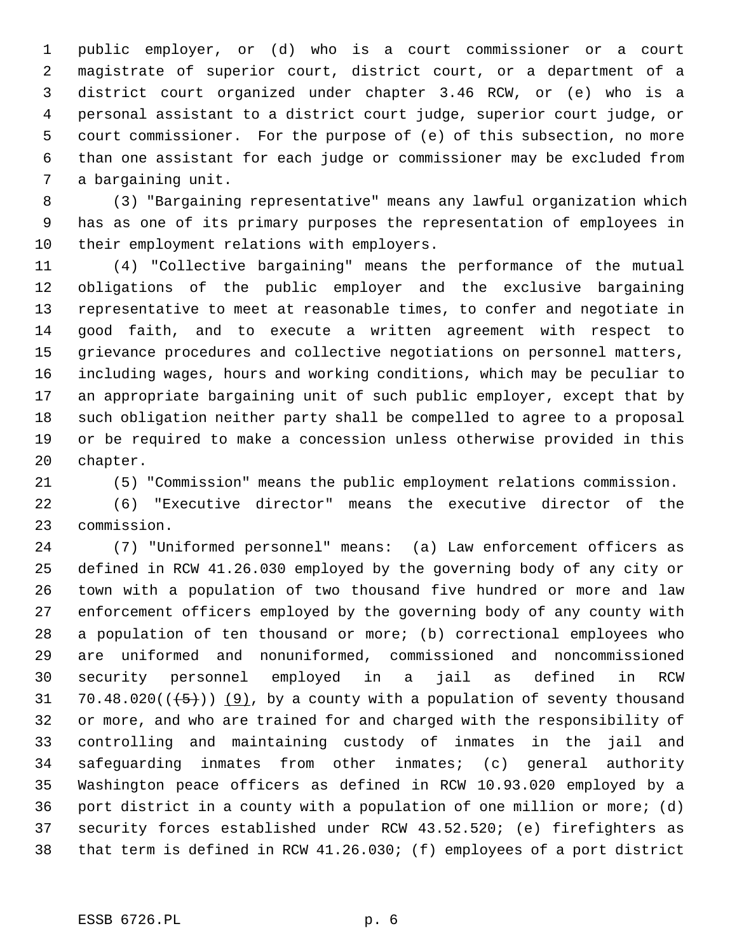1 public employer, or (d) who is a court commissioner or a court 2 magistrate of superior court, district court, or a department of a 3 district court organized under chapter 3.46 RCW, or (e) who is a 4 personal assistant to a district court judge, superior court judge, or 5 court commissioner. For the purpose of (e) of this subsection, no more 6 than one assistant for each judge or commissioner may be excluded from 7 a bargaining unit.

 8 (3) "Bargaining representative" means any lawful organization which 9 has as one of its primary purposes the representation of employees in 10 their employment relations with employers.

11 (4) "Collective bargaining" means the performance of the mutual 12 obligations of the public employer and the exclusive bargaining 13 representative to meet at reasonable times, to confer and negotiate in 14 good faith, and to execute a written agreement with respect to 15 grievance procedures and collective negotiations on personnel matters, 16 including wages, hours and working conditions, which may be peculiar to 17 an appropriate bargaining unit of such public employer, except that by 18 such obligation neither party shall be compelled to agree to a proposal 19 or be required to make a concession unless otherwise provided in this 20 chapter.

21 (5) "Commission" means the public employment relations commission.

22 (6) "Executive director" means the executive director of the 23 commission.

24 (7) "Uniformed personnel" means: (a) Law enforcement officers as 25 defined in RCW 41.26.030 employed by the governing body of any city or 26 town with a population of two thousand five hundred or more and law 27 enforcement officers employed by the governing body of any county with 28 a population of ten thousand or more; (b) correctional employees who 29 are uniformed and nonuniformed, commissioned and noncommissioned 30 security personnel employed in a jail as defined in RCW 31 70.48.020( $(\frac{5}{2})$ ) (9), by a county with a population of seventy thousand 32 or more, and who are trained for and charged with the responsibility of 33 controlling and maintaining custody of inmates in the jail and 34 safeguarding inmates from other inmates; (c) general authority 35 Washington peace officers as defined in RCW 10.93.020 employed by a 36 port district in a county with a population of one million or more; (d) 37 security forces established under RCW 43.52.520; (e) firefighters as 38 that term is defined in RCW 41.26.030; (f) employees of a port district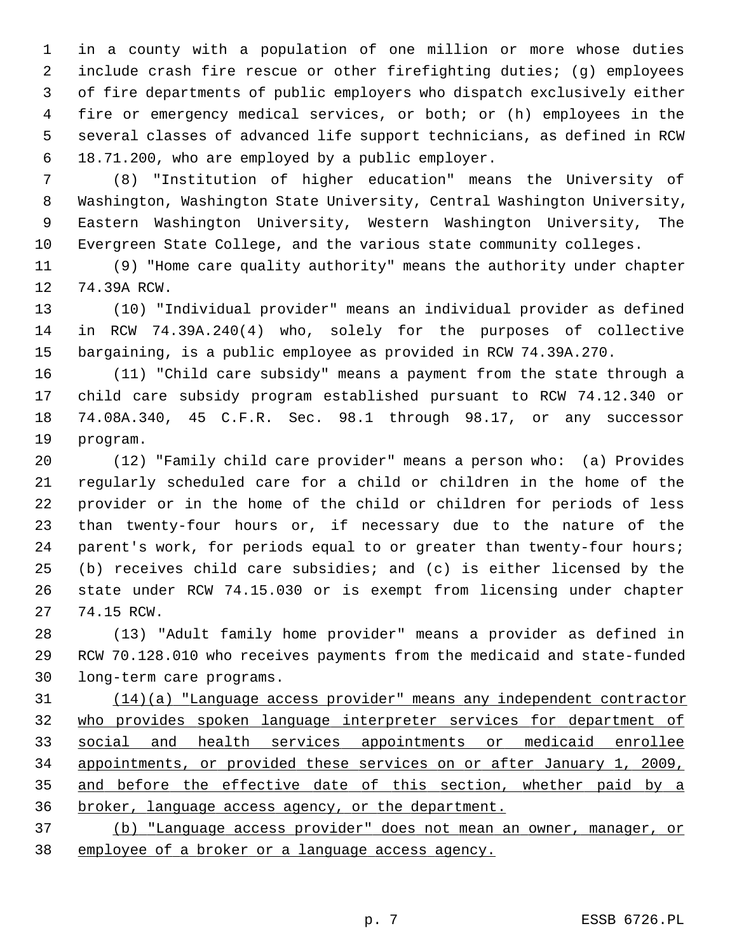1 in a county with a population of one million or more whose duties 2 include crash fire rescue or other firefighting duties; (g) employees 3 of fire departments of public employers who dispatch exclusively either 4 fire or emergency medical services, or both; or (h) employees in the 5 several classes of advanced life support technicians, as defined in RCW 6 18.71.200, who are employed by a public employer.

 7 (8) "Institution of higher education" means the University of 8 Washington, Washington State University, Central Washington University, 9 Eastern Washington University, Western Washington University, The 10 Evergreen State College, and the various state community colleges.

11 (9) "Home care quality authority" means the authority under chapter 12 74.39A RCW.

13 (10) "Individual provider" means an individual provider as defined 14 in RCW 74.39A.240(4) who, solely for the purposes of collective 15 bargaining, is a public employee as provided in RCW 74.39A.270.

16 (11) "Child care subsidy" means a payment from the state through a 17 child care subsidy program established pursuant to RCW 74.12.340 or 18 74.08A.340, 45 C.F.R. Sec. 98.1 through 98.17, or any successor 19 program.

20 (12) "Family child care provider" means a person who: (a) Provides 21 regularly scheduled care for a child or children in the home of the 22 provider or in the home of the child or children for periods of less 23 than twenty-four hours or, if necessary due to the nature of the 24 parent's work, for periods equal to or greater than twenty-four hours; 25 (b) receives child care subsidies; and (c) is either licensed by the 26 state under RCW 74.15.030 or is exempt from licensing under chapter 27 74.15 RCW.

28 (13) "Adult family home provider" means a provider as defined in 29 RCW 70.128.010 who receives payments from the medicaid and state-funded 30 long-term care programs.

 (14)(a) "Language access provider" means any independent contractor who provides spoken language interpreter services for department of social and health services appointments or medicaid enrollee appointments, or provided these services on or after January 1, 2009, and before the effective date of this section, whether paid by a broker, language access agency, or the department.

37 (b) "Language access provider" does not mean an owner, manager, or 38 employee of a broker or a language access agency.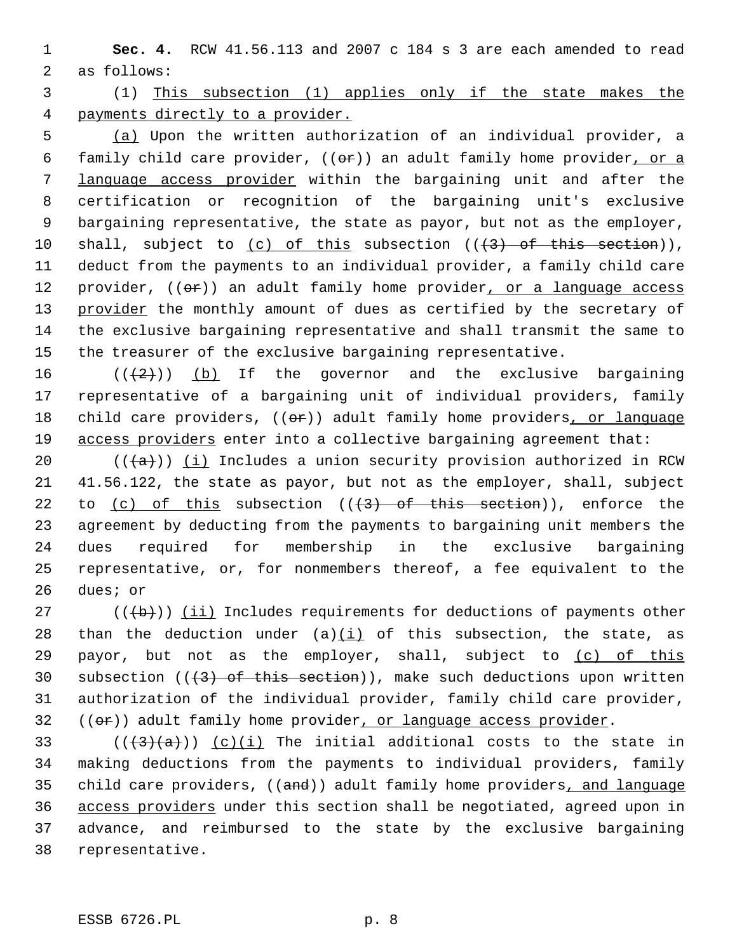1 **Sec. 4.** RCW 41.56.113 and 2007 c 184 s 3 are each amended to read 2 as follows:

 3 (1) This subsection (1) applies only if the state makes the 4 payments directly to a provider.

 5 (a) Upon the written authorization of an individual provider, a 6 family child care provider,  $((\theta \hat{r}))$  an adult family home provider, or a 7 language access provider within the bargaining unit and after the 8 certification or recognition of the bargaining unit's exclusive 9 bargaining representative, the state as payor, but not as the employer, 10 shall, subject to  $(c)$  of this subsection  $((+3)$  of this section)), 11 deduct from the payments to an individual provider, a family child care 12 provider,  $((\theta \cdot \hat{r}))$  an adult family home provider, or a language access 13 provider the monthly amount of dues as certified by the secretary of 14 the exclusive bargaining representative and shall transmit the same to 15 the treasurer of the exclusive bargaining representative.

16  $((2))$  (b) If the governor and the exclusive bargaining 17 representative of a bargaining unit of individual providers, family 18 child care providers,  $((\theta \cdot \hat{r}))$  adult family home providers, or language 19 access providers enter into a collective bargaining agreement that:

20 ( $(\overline{a})$ ) (i) Includes a union security provision authorized in RCW 21 41.56.122, the state as payor, but not as the employer, shall, subject 22 to (c) of this subsection  $((3)$  of this section)), enforce the 23 agreement by deducting from the payments to bargaining unit members the 24 dues required for membership in the exclusive bargaining 25 representative, or, for nonmembers thereof, a fee equivalent to the 26 dues; or

 $27$  (( $\left(\frac{1}{b}\right)$ ) (ii) Includes requirements for deductions of payments other 28 than the deduction under  $(a)(i)$  of this subsection, the state, as 29 payor, but not as the employer, shall, subject to (c) of this 30 subsection  $((+3)$  of this section)), make such deductions upon written 31 authorization of the individual provider, family child care provider,  $32$  (( $\sigma$ r)) adult family home provider, or language access provider.

33 ( $((3)(a))$  (c)(i) The initial additional costs to the state in 34 making deductions from the payments to individual providers, family 35 child care providers, ((and)) adult family home providers, and language 36 access providers under this section shall be negotiated, agreed upon in 37 advance, and reimbursed to the state by the exclusive bargaining 38 representative.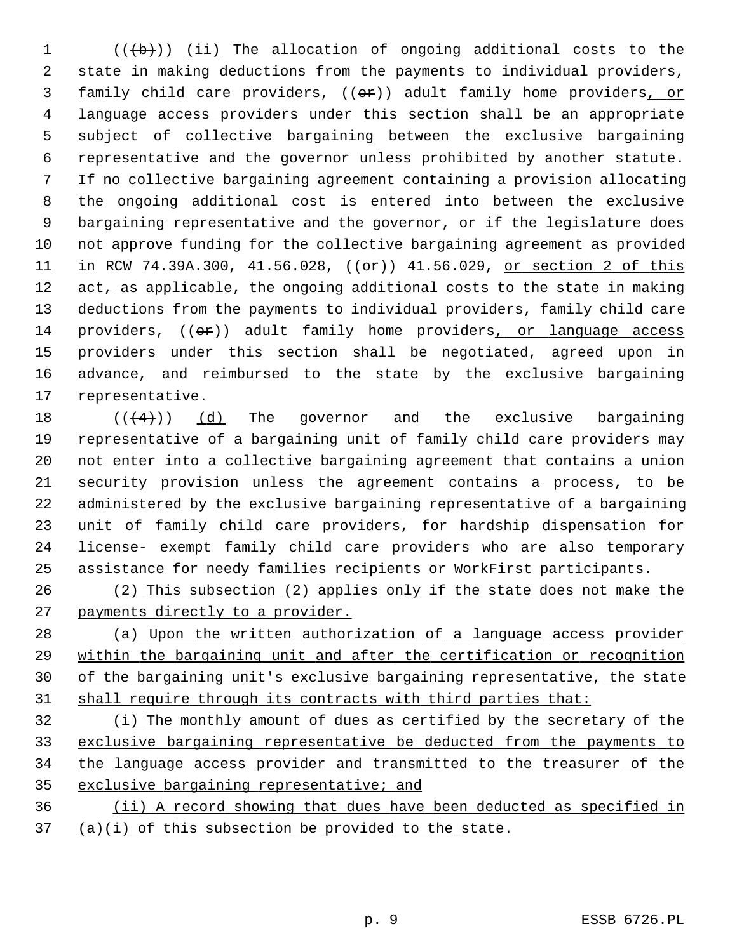1  $((\n\dagger b))$  (ii) The allocation of ongoing additional costs to the 2 state in making deductions from the payments to individual providers, 3 family child care providers, ((or)) adult family home providers, or 4 language access providers under this section shall be an appropriate 5 subject of collective bargaining between the exclusive bargaining 6 representative and the governor unless prohibited by another statute. 7 If no collective bargaining agreement containing a provision allocating 8 the ongoing additional cost is entered into between the exclusive 9 bargaining representative and the governor, or if the legislature does 10 not approve funding for the collective bargaining agreement as provided 11 in RCW 74.39A.300, 41.56.028, ((or)) 41.56.029, or section 2 of this 12 act, as applicable, the ongoing additional costs to the state in making 13 deductions from the payments to individual providers, family child care 14 providers, ((or)) adult family home providers, or language access 15 providers under this section shall be negotiated, agreed upon in 16 advance, and reimbursed to the state by the exclusive bargaining 17 representative.

18  $((4+))$  (d) The governor and the exclusive bargaining 19 representative of a bargaining unit of family child care providers may 20 not enter into a collective bargaining agreement that contains a union 21 security provision unless the agreement contains a process, to be 22 administered by the exclusive bargaining representative of a bargaining 23 unit of family child care providers, for hardship dispensation for 24 license- exempt family child care providers who are also temporary 25 assistance for needy families recipients or WorkFirst participants.

26 (2) This subsection (2) applies only if the state does not make the 27 payments directly to a provider.

 (a) Upon the written authorization of a language access provider within the bargaining unit and after the certification or recognition of the bargaining unit's exclusive bargaining representative, the state shall require through its contracts with third parties that:

 (i) The monthly amount of dues as certified by the secretary of the exclusive bargaining representative be deducted from the payments to the language access provider and transmitted to the treasurer of the exclusive bargaining representative; and

36 (ii) A record showing that dues have been deducted as specified in 37 (a)(i) of this subsection be provided to the state.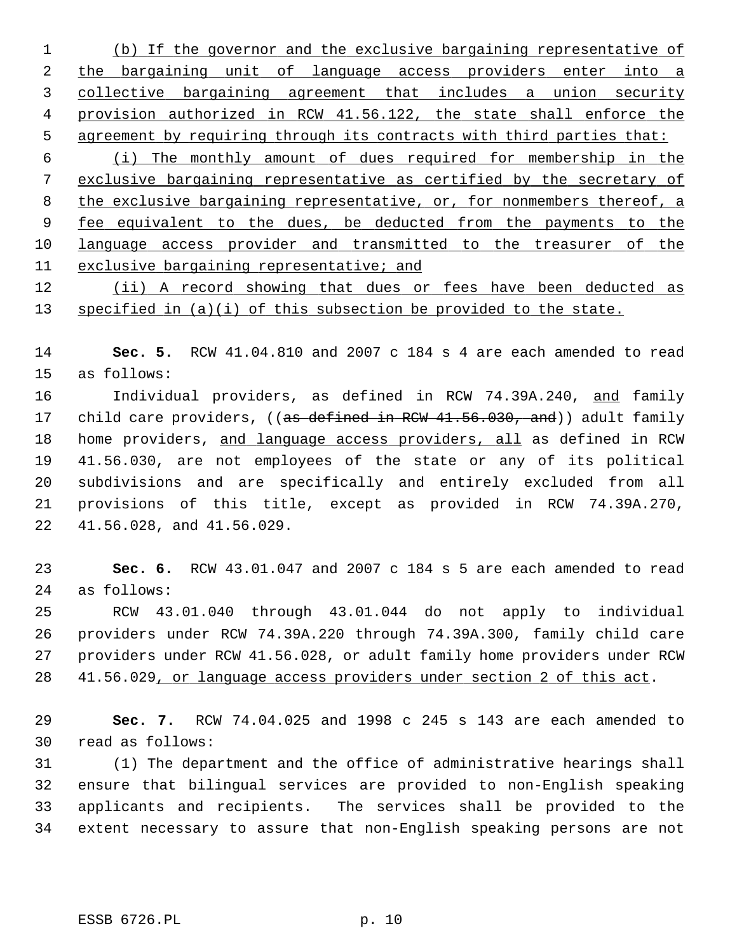(b) If the governor and the exclusive bargaining representative of the bargaining unit of language access providers enter into a collective bargaining agreement that includes a union security provision authorized in RCW 41.56.122, the state shall enforce the agreement by requiring through its contracts with third parties that:

 (i) The monthly amount of dues required for membership in the exclusive bargaining representative as certified by the secretary of the exclusive bargaining representative, or, for nonmembers thereof, a fee equivalent to the dues, be deducted from the payments to the language access provider and transmitted to the treasurer of the exclusive bargaining representative; and

12 (ii) A record showing that dues or fees have been deducted as 13 specified in (a)(i) of this subsection be provided to the state.

14 **Sec. 5.** RCW 41.04.810 and 2007 c 184 s 4 are each amended to read 15 as follows:

16 Individual providers, as defined in RCW 74.39A.240, and family 17 child care providers, ((as defined in RCW 41.56.030, and)) adult family 18 home providers, and language access providers, all as defined in RCW 19 41.56.030, are not employees of the state or any of its political 20 subdivisions and are specifically and entirely excluded from all 21 provisions of this title, except as provided in RCW 74.39A.270, 22 41.56.028, and 41.56.029.

23 **Sec. 6.** RCW 43.01.047 and 2007 c 184 s 5 are each amended to read 24 as follows:

25 RCW 43.01.040 through 43.01.044 do not apply to individual 26 providers under RCW 74.39A.220 through 74.39A.300, family child care 27 providers under RCW 41.56.028, or adult family home providers under RCW 28 41.56.029, or language access providers under section 2 of this act.

29 **Sec. 7.** RCW 74.04.025 and 1998 c 245 s 143 are each amended to 30 read as follows:

31 (1) The department and the office of administrative hearings shall 32 ensure that bilingual services are provided to non-English speaking 33 applicants and recipients. The services shall be provided to the 34 extent necessary to assure that non-English speaking persons are not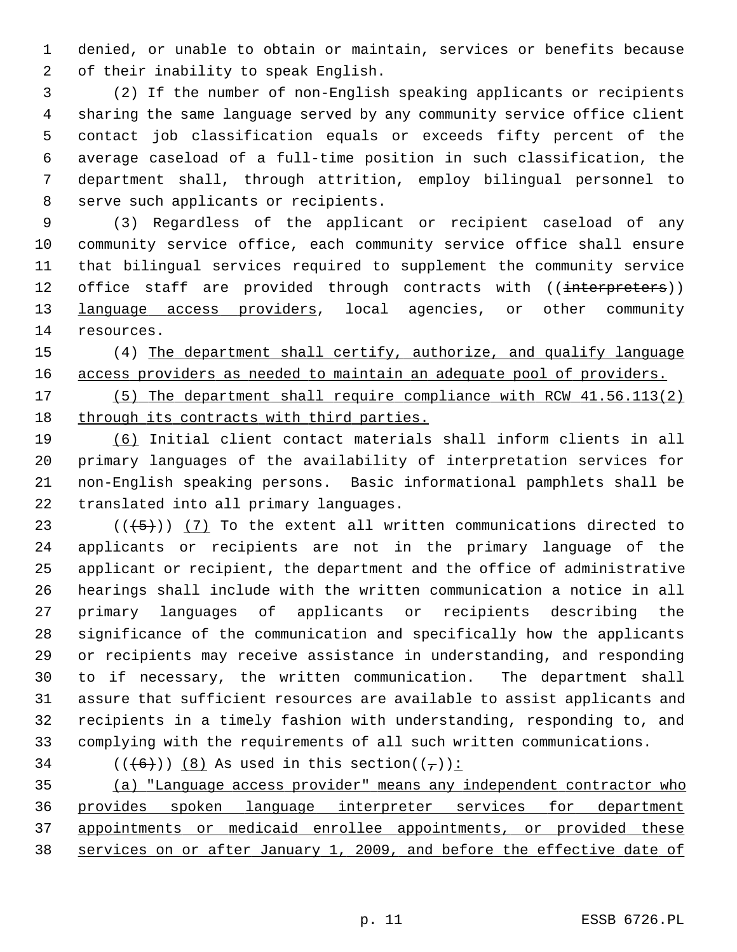1 denied, or unable to obtain or maintain, services or benefits because 2 of their inability to speak English.

 3 (2) If the number of non-English speaking applicants or recipients 4 sharing the same language served by any community service office client 5 contact job classification equals or exceeds fifty percent of the 6 average caseload of a full-time position in such classification, the 7 department shall, through attrition, employ bilingual personnel to 8 serve such applicants or recipients.

 9 (3) Regardless of the applicant or recipient caseload of any 10 community service office, each community service office shall ensure 11 that bilingual services required to supplement the community service 12 office staff are provided through contracts with ((interpreters)) 13 language access providers, local agencies, or other community 14 resources.

15 (4) The department shall certify, authorize, and qualify language 16 access providers as needed to maintain an adequate pool of providers.

17 (5) The department shall require compliance with RCW 41.56.113(2) 18 through its contracts with third parties.

19 (6) Initial client contact materials shall inform clients in all 20 primary languages of the availability of interpretation services for 21 non-English speaking persons. Basic informational pamphlets shall be 22 translated into all primary languages.

23  $((+5))$  (7) To the extent all written communications directed to 24 applicants or recipients are not in the primary language of the 25 applicant or recipient, the department and the office of administrative 26 hearings shall include with the written communication a notice in all 27 primary languages of applicants or recipients describing the 28 significance of the communication and specifically how the applicants 29 or recipients may receive assistance in understanding, and responding 30 to if necessary, the written communication. The department shall 31 assure that sufficient resources are available to assist applicants and 32 recipients in a timely fashion with understanding, responding to, and 33 complying with the requirements of all such written communications.

34 ( $(\frac{+6}{0})$ ) (8) As used in this section( $(\frac{+}{1})$ ):

 (a) "Language access provider" means any independent contractor who provides spoken language interpreter services for department appointments or medicaid enrollee appointments, or provided these services on or after January 1, 2009, and before the effective date of